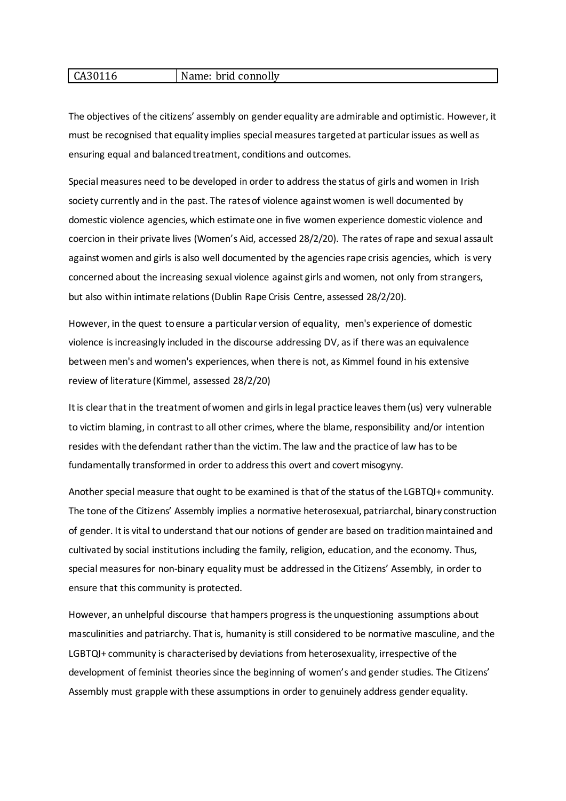#### CA30116 Name: brid connolly

The objectives of the citizens' assembly on gender equality are admirable and optimistic. However, it must be recognised that equality implies special measures targeted at particular issues as well as ensuring equal and balanced treatment, conditions and outcomes.

Special measures need to be developed in order to address the status of girls and women in Irish society currently and in the past. The rates of violence against women is well documented by domestic violence agencies, which estimate one in five women experience domestic violence and coercion in their private lives (Women's Aid, accessed 28/2/20). The rates of rape and sexual assault against women and girls is also well documented by the agencies rape crisis agencies, which is very concerned about the increasing sexual violence against girls and women, not only from strangers, but also within intimate relations (Dublin Rape Crisis Centre, assessed 28/2/20).

However, in the quest to ensure a particular version of equality, men's experience of domestic violence is increasingly included in the discourse addressing DV, as if there was an equivalence between men's and women's experiences, when there is not, as Kimmel found in his extensive review of literature (Kimmel, assessed 28/2/20)

It is clear that in the treatment of women and girls in legal practice leaves them (us) very vulnerable to victim blaming, in contrast to all other crimes, where the blame, responsibility and/or intention resides with the defendant rather than the victim. The law and the practice of law has to be fundamentally transformed in order to address this overt and covert misogyny.

Another special measure that ought to be examined is that of the status of the LGBTQI+ community. The tone of the Citizens' Assembly implies a normative heterosexual, patriarchal, binary construction of gender. It is vital to understand that our notions of gender are based on tradition maintained and cultivated by social institutions including the family, religion, education, and the economy. Thus, special measures for non-binary equality must be addressed in the Citizens' Assembly, in order to ensure that this community is protected.

However, an unhelpful discourse that hampers progress is the unquestioning assumptions about masculinities and patriarchy. That is, humanity is still considered to be normative masculine, and the LGBTQI+ community is characterised by deviations from heterosexuality, irrespective of the development of feminist theories since the beginning of women's and gender studies. The Citizens' Assembly must grapple with these assumptions in order to genuinely address gender equality.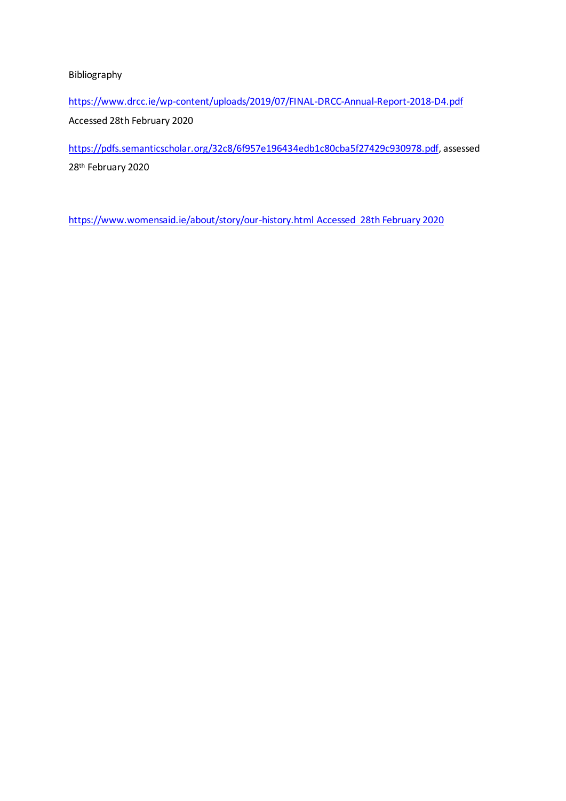Bibliography

<https://www.drcc.ie/wp-content/uploads/2019/07/FINAL-DRCC-Annual-Report-2018-D4.pdf> Accessed 28th February 2020

[https://pdfs.semanticscholar.org/32c8/6f957e196434edb1c80cba5f27429c930978.pdf,](https://pdfs.semanticscholar.org/32c8/6f957e196434edb1c80cba5f27429c930978.pdf) assessed 28th February 2020

[https://www.womensaid.ie/about/story/our-history.html Accessed](https://www.womensaid.ie/about/story/our-history.html%20Accessed%2028th%20February%202020) 28th February 2020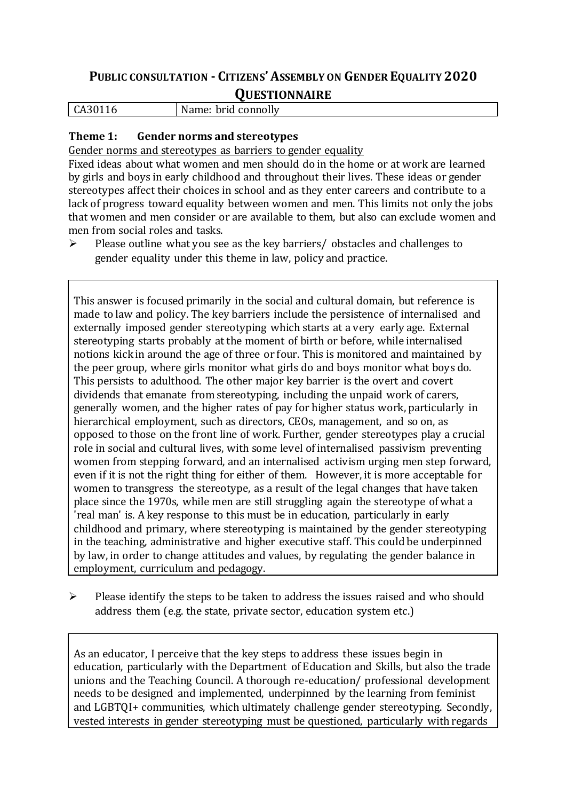# **PUBLIC CONSULTATION - CITIZENS'ASSEMBLY ON GENDER EQUALITY 2020**

## **QUESTIONNAIRE**

CA30116 Name: brid connolly

### **Theme 1: Gender norms and stereotypes**

Gender norms and stereotypes as barriers to gender equality

Fixed ideas about what women and men should do in the home or at work are learned by girls and boys in early childhood and throughout their lives. These ideas or gender stereotypes affect their choices in school and as they enter careers and contribute to a lack of progress toward equality between women and men. This limits not only the jobs that women and men consider or are available to them, but also can exclude women and men from social roles and tasks.

 $\triangleright$  Please outline what you see as the key barriers/ obstacles and challenges to gender equality under this theme in law, policy and practice.

This answer is focused primarily in the social and cultural domain, but reference is made to law and policy. The key barriers include the persistence of internalised and externally imposed gender stereotyping which starts at a very early age. External stereotyping starts probably at the moment of birth or before, while internalised notions kick in around the age of three or four. This is monitored and maintained by the peer group, where girls monitor what girls do and boys monitor what boys do. This persists to adulthood. The other major key barrier is the overt and covert dividends that emanate from stereotyping, including the unpaid work of carers, generally women, and the higher rates of pay for higher status work, particularly in hierarchical employment, such as directors, CEOs, management, and so on, as opposed to those on the front line of work. Further, gender stereotypes play a crucial role in social and cultural lives, with some level of internalised passivism preventing women from stepping forward, and an internalised activism urging men step forward, even if it is not the right thing for either of them. However, it is more acceptable for women to transgress the stereotype, as a result of the legal changes that have taken place since the 1970s, while men are still struggling again the stereotype of what a 'real man' is. A key response to this must be in education, particularly in early childhood and primary, where stereotyping is maintained by the gender stereotyping in the teaching, administrative and higher executive staff. This could be underpinned by law, in order to change attitudes and values, by regulating the gender balance in employment, curriculum and pedagogy.

 $\triangleright$  Please identify the steps to be taken to address the issues raised and who should address them (e.g. the state, private sector, education system etc.)

As an educator, I perceive that the key steps to address these issues begin in education, particularly with the Department of Education and Skills, but also the trade unions and the Teaching Council. A thorough re-education/ professional development needs to be designed and implemented, underpinned by the learning from feminist and LGBTQI+ communities, which ultimately challenge gender stereotyping. Secondly, vested interests in gender stereotyping must be questioned, particularly with regards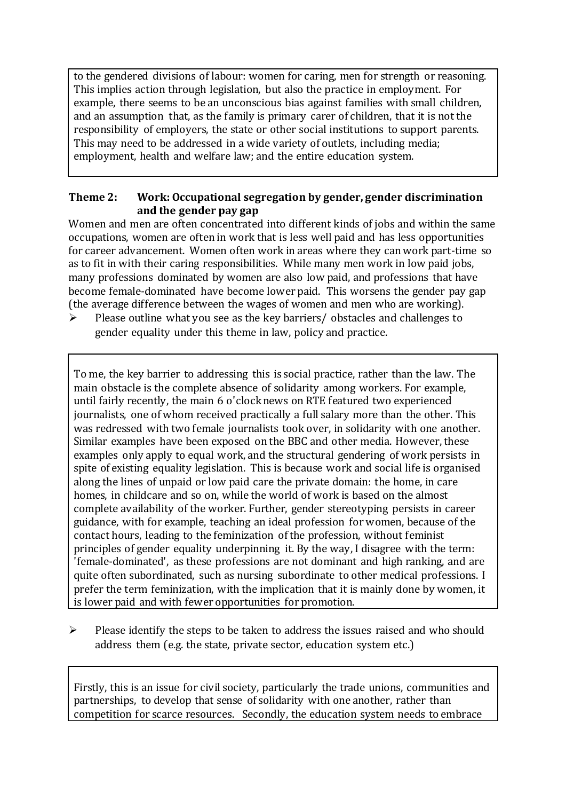to the gendered divisions of labour: women for caring, men for strength or reasoning. This implies action through legislation, but also the practice in employment. For example, there seems to be an unconscious bias against families with small children, and an assumption that, as the family is primary carer of children, that it is not the responsibility of employers, the state or other social institutions to support parents. This may need to be addressed in a wide variety of outlets, including media; employment, health and welfare law; and the entire education system.

#### **Theme 2: Work: Occupational segregation by gender, gender discrimination and the gender pay gap**

Women and men are often concentrated into different kinds of jobs and within the same occupations, women are often in work that is less well paid and has less opportunities for career advancement. Women often work in areas where they can work part-time so as to fit in with their caring responsibilities. While many men work in low paid jobs, many professions dominated by women are also low paid, and professions that have become female-dominated have become lower paid. This worsens the gender pay gap (the average difference between the wages of women and men who are working).

 $\triangleright$  Please outline what you see as the key barriers/ obstacles and challenges to gender equality under this theme in law, policy and practice.

To me, the key barrier to addressing this is social practice, rather than the law. The main obstacle is the complete absence of solidarity among workers. For example, until fairly recently, the main 6 o'clock news on RTE featured two experienced journalists, one of whom received practically a full salary more than the other. This was redressed with two female journalists took over, in solidarity with one another. Similar examples have been exposed on the BBC and other media. However, these examples only apply to equal work, and the structural gendering of work persists in spite of existing equality legislation. This is because work and social life is organised along the lines of unpaid or low paid care the private domain: the home, in care homes, in childcare and so on, while the world of work is based on the almost complete availability of the worker. Further, gender stereotyping persists in career guidance, with for example, teaching an ideal profession for women, because of the contact hours, leading to the feminization of the profession, without feminist principles of gender equality underpinning it. By the way, I disagree with the term: 'female-dominated', as these professions are not dominant and high ranking, and are quite often subordinated, such as nursing subordinate to other medical professions. I prefer the term feminization, with the implication that it is mainly done by women, it is lower paid and with fewer opportunities for promotion.

 $\triangleright$  Please identify the steps to be taken to address the issues raised and who should address them (e.g. the state, private sector, education system etc.)

Firstly, this is an issue for civil society, particularly the trade unions, communities and partnerships, to develop that sense of solidarity with one another, rather than competition for scarce resources. Secondly, the education system needs to embrace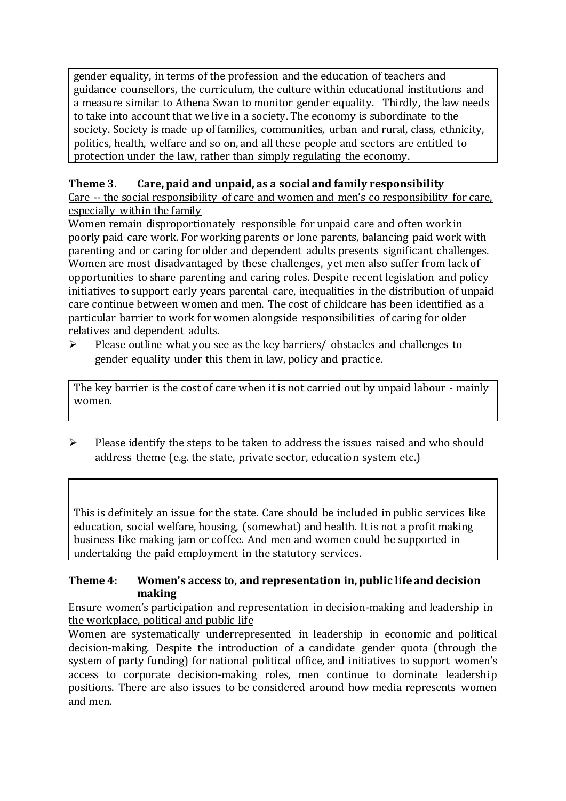gender equality, in terms of the profession and the education of teachers and guidance counsellors, the curriculum, the culture within educational institutions and a measure similar to Athena Swan to monitor gender equality. Thirdly, the law needs to take into account that we live in a society. The economy is subordinate to the society. Society is made up of families, communities, urban and rural, class, ethnicity, politics, health, welfare and so on, and all these people and sectors are entitled to protection under the law, rather than simply regulating the economy.

### **Theme 3. Care, paid and unpaid, as a social and family responsibility** Care -- the social responsibility of care and women and men's co responsibility for care,

especially within the family Women remain disproportionately responsible for unpaid care and often work in

poorly paid care work. For working parents or [lone parents,](https://aran.library.nuigalway.ie/bitstream/handle/10379/6044/Millar_and_Crosse_Activation_Report.pdf?sequence=1&isAllowed=y) balancing paid work with parenting and or caring for older and dependent adults presents significant challenges. Women are [most disadvantaged by these challenges,](https://eige.europa.eu/gender-equality-index/game/IE/W) yet men also suffer from lack of opportunities to share parenting and caring roles. Despite recent legislation and policy initiatives to support early years parental care, [inequalities in the distribution of unpaid](https://www.ihrec.ie/app/uploads/2019/07/Caring-and-Unpaid-Work-in-Ireland_Final.pdf)  [care](https://www.ihrec.ie/app/uploads/2019/07/Caring-and-Unpaid-Work-in-Ireland_Final.pdf) continue between women and men. The cost of childcare has been identified as a particular barrier to work for women alongside responsibilities of caring for older relatives and dependent adults.

 $\triangleright$  Please outline what you see as the key barriers/ obstacles and challenges to gender equality under this them in law, policy and practice.

The key barrier is the cost of care when it is not carried out by unpaid labour - mainly women.

 $\triangleright$  Please identify the steps to be taken to address the issues raised and who should address theme (e.g. the state, private sector, education system etc.)

This is definitely an issue for the state. Care should be included in public services like education, social welfare, housing, (somewhat) and health. It is not a profit making business like making jam or coffee. And men and women could be supported in undertaking the paid employment in the statutory services.

### **Theme 4: Women's access to, and representation in, public life and decision making**

Ensure women's participation and representation in decision-making and leadership in the workplace, political and public life

Women are systematically underrepresented in leadership in [economic](https://eige.europa.eu/gender-equality-index/2019/compare-countries/power/2/bar) and [political](https://eige.europa.eu/gender-equality-index/2019/compare-countries/power/1/bar)  [decision-](https://eige.europa.eu/gender-equality-index/2019/compare-countries/power/1/bar)making. Despite the introduction of a candidate gender quota (through the system of party funding) for national political office, and [initiatives](https://betterbalance.ie/) to support women's access to corporate decision-making roles, men continue to dominate leadership positions. There are also issues to be considered around how media represents women and men.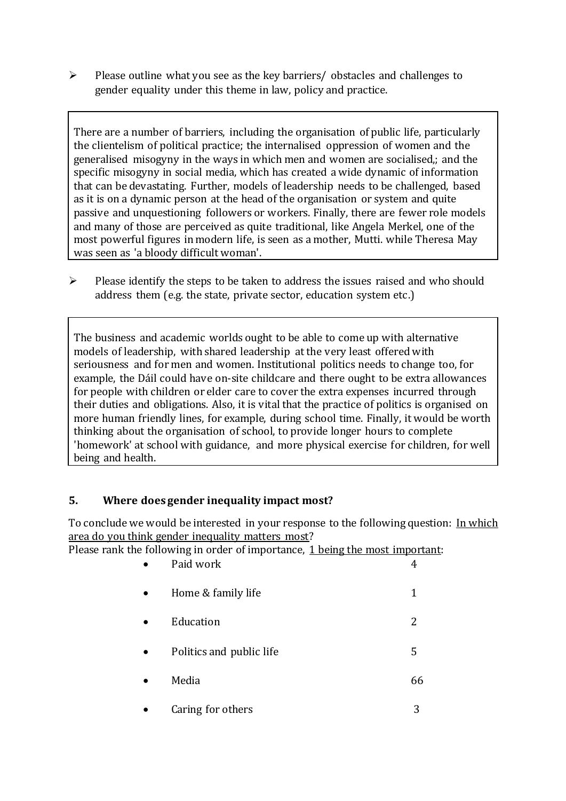$\triangleright$  Please outline what you see as the key barriers/ obstacles and challenges to gender equality under this theme in law, policy and practice.

There are a number of barriers, including the organisation of public life, particularly the clientelism of political practice; the internalised oppression of women and the generalised misogyny in the ways in which men and women are socialised,; and the specific misogyny in social media, which has created a wide dynamic of information that can be devastating. Further, models of leadership needs to be challenged, based as it is on a dynamic person at the head of the organisation or system and quite passive and unquestioning followers or workers. Finally, there are fewer role models and many of those are perceived as quite traditional, like Angela Merkel, one of the most powerful figures in modern life, is seen as a mother, Mutti. while Theresa May was seen as 'a bloody difficult woman'.

 $\triangleright$  Please identify the steps to be taken to address the issues raised and who should address them (e.g. the state, private sector, education system etc.)

The business and academic worlds ought to be able to come up with alternative models of leadership, with shared leadership at the very least offered with seriousness and for men and women. Institutional politics needs to change too, for example, the Dáil could have on-site childcare and there ought to be extra allowances for people with children or elder care to cover the extra expenses incurred through their duties and obligations. Also, it is vital that the practice of politics is organised on more human friendly lines, for example, during school time. Finally, it would be worth thinking about the organisation of school, to provide longer hours to complete 'homework' at school with guidance, and more physical exercise for children, for well being and health.

### **5. Where does gender inequality impact most?**

To conclude we would be interested in your response to the following question: In which area do you think gender inequality matters most?

Please rank the following in order of importance, 1 being the most important:

|           | Paid work                |    |
|-----------|--------------------------|----|
| $\bullet$ | Home & family life       | 1  |
|           | Education                | 2  |
|           | Politics and public life | 5  |
|           | Media                    | hh |
|           |                          |    |

Caring for others 3